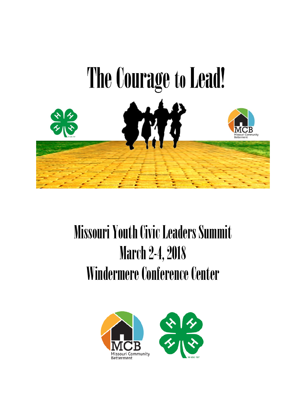

# **Missouri Youth Civic Leaders Summit** March 2-4, 2018 Windermere Conference Center

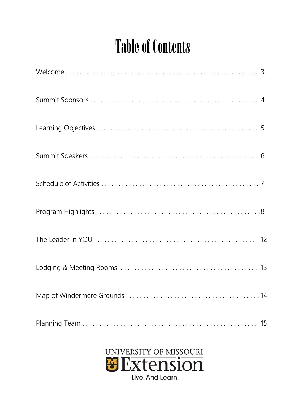### **Table of Contents**

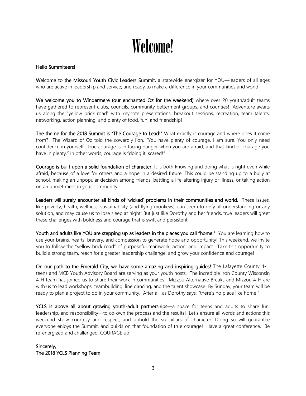### Welcome!

#### Hello Summiteers!

Welcome to the Missouri Youth Civic Leaders Summit, a statewide energizer for YOU-leaders of all ages who are active in leadership and service, and ready to make a difference in your communities and world!

We welcome you to Windermere (our enchanted Oz for the weekend) where over 20 youth/adult teams have gathered to represent clubs, councils, community betterment groups, and counties! Adventure awaits us along the "yellow brick road" with keynote presentations, breakout sessions, recreation, team talents, networking, action planning, and plenty of food, fun, and friendship!

The theme for the 2018 Summit is "The Courage to Lead!" What exactly is courage and where does it come from? The Wizard of Oz told the cowardly lion, "You have plenty of courage, I am sure. You only need confidence in yourself…True courage is in facing danger when you are afraid, and that kind of courage you have in plenty." In other words, courage is "doing it, scared!"

Courage is built upon a solid foundation of character. It is both knowing and doing what is right even while afraid, because of a love for others and a hope in a desired future. This could be standing up to a bully at school, making an unpopular decision among friends, battling a life-altering injury or illness, or taking action on an unmet meet in your community.

Leaders will surely encounter all kinds of 'wicked' problems in their communities and world. These issues, like poverty, health, wellness, sustainability (and flying monkeys), can seem to defy all understanding or any solution, and may cause us to lose sleep at night! But just like Dorothy and her friends, true leaders will greet these challenges with boldness and courage that is swift and persistent.

Youth and adults like YOU are stepping up as leaders in the places you call "home." You are learning how to use your brains, hearts, bravery, and compassion to generate hope and opportunity! This weekend, we invite you to follow the "yellow brick road" of purposeful teamwork, action, and impact. Take this opportunity to build a strong team, reach for a greater leadership challenge, and grow your confidence and courage!

On our path to the Emerald City, we have some amazing and inspiring guides! The Lafayette County 4-H teens and MCB Youth Advisory Board are serving as your youth hosts. The incredible Iron County Wisconsin 4-H team has joined us to share their work in communities. Mizzou Alternative Breaks and Mizzou 4-H are with us to lead workshops, teambuilding, line dancing, and the talent showcase! By Sunday, your team will be ready to plan a project to do in your community. After all, as Dorothy says, "there's no place like home!"

YCLS is above all about growing youth-adult partnerships—a space for teens and adults to share fun, leadership, and responsibility—to co-own the process and the results! Let's ensure all words and actions this weekend show courtesy and respect, and uphold the six pillars of character. Doing so will guarantee everyone enjoys the Summit, and builds on that foundation of true courage! Have a great conference. Be re-energized and challenged. COURAGE up!

Sincerely, The 2018 YCLS Planning Team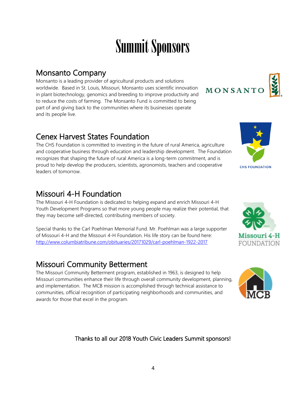### Summit Sponsors

**Monsanto Company**<br>Monsanto is a leading provider of agricultural products and solutions worldwide. Based in St. Louis, Missouri, Monsanto uses scientific innovation in plant biotechnology, genomics and breeding to improve productivity and to reduce the costs of farming. The Monsanto Fund is committed to being part of and giving back to the communities where its businesses operate and its people live.

Cenex Harvest States Foundation<br>The CHS Foundation is committed to investing in the future of rural America, agriculture and cooperative business through education and leadership development. The Foundation recognizes that shaping the future of rural America is a long-term commitment, and is proud to help develop the producers, scientists, agronomists, teachers and cooperative leaders of tomorrow.

Missouri 4-H Foundation<br>The Missouri 4-H Foundation is dedicated to helping expand and enrich Missouri 4-H Youth Development Programs so that more young people may realize their potential, that they may become self-directed, contributing members of society.

Special thanks to the Carl Poehlman Memorial Fund. Mr. Poehlman was a large supporter of Missouri 4-H and the Missouri 4-H Foundation. His life story can be found here: <http://www.columbiatribune.com/obituaries/20171029/carl-poehlman-1922-2017>

Missouri Community Betterment<br>The Missouri Community Betterment program, established in 1963, is designed to help Missouri communities enhance their life through overall community development, planning, and implementation. The MCB mission is accomplished through technical assistance to communities, official recognition of participating neighborhoods and communities, and awards for those that excel in the program.

#### Thanks to all our 2018 Youth Civic Leaders Summit sponsors!





MONSANTO



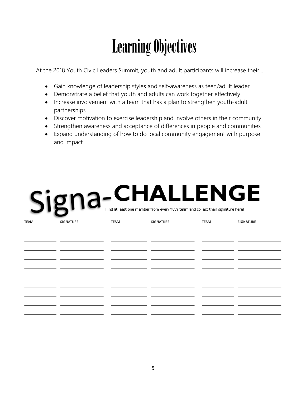## Learning Objectives

At the 2018 Youth Civic Leaders Summit, youth and adult participants will increase their…

- Gain knowledge of leadership styles and self-awareness as teen/adult leader
- Demonstrate a belief that youth and adults can work together effectively
- Increase involvement with a team that has a plan to strengthen youth-adult partnerships
- Discover motivation to exercise leadership and involve others in their community
- Strengthen awareness and acceptance of differences in people and communities
- Expand understanding of how to do local community engagement with purpose and impact

# Signa-CHALLENGE

| <b>TEAM</b> | SIGNATURE | TEAM | SIGNATURE | TEAM | SIGNATURE |
|-------------|-----------|------|-----------|------|-----------|
|             |           |      |           |      |           |
|             |           |      |           |      |           |
|             |           |      |           |      |           |
|             |           |      |           |      |           |
|             |           |      |           |      |           |
|             |           |      |           |      |           |
|             |           |      |           |      |           |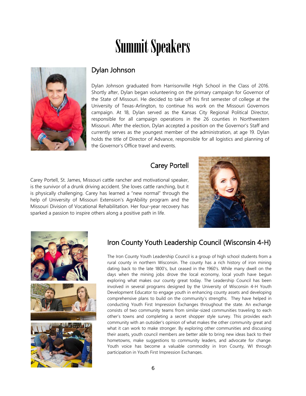### Summit Speakers



#### Dylan Johnson

I j

 $\overline{a}$ 

 $\ddot{\phantom{a}}$ 

 $\epsilon$ Dylan Johnson graduated from Harrisonville High School in the Class of 2016. Shortly after, Dylan began volunteering on the primary campaign for Governor of the State of Missouri. He decided to take off his first semester of college at the University of Texas-Arlington, to continue his work on the Missouri Governors campaign. At 18, Dylan served as the Kansas City Regional Political Director, responsible for all campaign operations in the 26 counties in Northwestern Missouri. After the election, Dylan accepted a position on the Governor's Staff and currently serves as the youngest member of the administration, at age 19. Dylan holds the title of Director of Advance, responsible for all logistics and planning of the Governor's Office travel and events.

#### Carey Portell

Carey Portell, St. James, Missouri cattle rancher and motivational speaker, is the survivor of a drunk driving accident. She loves cattle ranching, but it is physically challenging. Carey has learned a "new normal" through the help of University of Missouri Extension's AgrAbility program and the Missouri Division of Vocational Rehabilitation. Her four-year recovery has sparked a passion to inspire others along a positive path in life.





#### Iron County Youth Leadership Council (Wisconsin 4-H)

The Iron County Youth Leadership Council is a group of high school students from a rural county in northern Wisconsin. The county has a rich history of iron mining dating back to the late 1800's, but ceased in the 1960's. While many dwell on the days when the mining jobs drove the local economy, local youth have begun exploring what makes our county great today. The Leadership Council has been involved in several programs designed by the University of Wisconsin 4-H Youth Development Educator to engage youth in enhancing county assets and developing comprehensive plans to build on the community's strengths. They have helped in conducting Youth First Impression Exchanges throughout the state. An exchange consists of two community teams from similar-sized communities traveling to each other's towns and completing a secret shopper style survey. This provides each community with an outsider's opinion of what makes the other community great and what it can work to make stronger. By exploring other communities and discussing their assets, youth council members are better able to bring new ideas back to their hometowns, make suggestions to community leaders, and advocate for change. Youth voice has become a valuable commodity in Iron County, WI through participation in Youth First Impression Exchanges.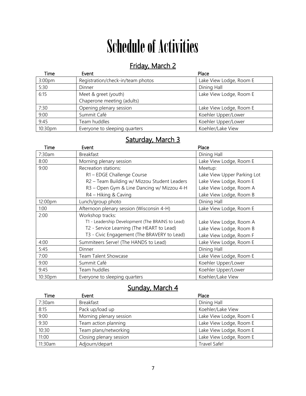# Schedule of Activities

### Friday, March 2

| Time    | Event                             | Place                   |
|---------|-----------------------------------|-------------------------|
| 3:00pm  | Registration/check-in/team photos | Lake View Lodge, Room E |
| 5:30    | Dinner                            | Dining Hall             |
| 6:15    | Meet & greet (youth)              | Lake View Lodge, Room E |
|         | Chaperone meeting (adults)        |                         |
| 7:30    | Opening plenary session           | Lake View Lodge, Room E |
| 9:00    | Summit Café                       | Koehler Upper/Lower     |
| 9:45    | Team huddles                      | Koehler Upper/Lower     |
| 10:30pm | Everyone to sleeping quarters     | Koehler/Lake View       |

### Saturday, March 3

| Time    | Event                                            | Place                       |
|---------|--------------------------------------------------|-----------------------------|
| 7:30am  | <b>Breakfast</b>                                 | Dining Hall                 |
| 8:00    | Morning plenary session                          | Lake View Lodge, Room E     |
| 9:00    | Recreation stations:                             | Meetup:                     |
|         | R1 - EDGE Challenge Course                       | Lake View Upper Parking Lot |
|         | R2 - Team Building w/ Mizzou Student Leaders     | Lake View Lodge, Room E     |
|         | R3 - Open Gym & Line Dancing w/ Mizzou 4-H       | Lake View Lodge, Room A     |
|         | R4 - Hiking & Caving                             | Lake View Lodge, Room B     |
| 12:00pm | Lunch/group photo                                | Dining Hall                 |
| 1:00    | Afternoon plenary session (Wisconsin 4-H)        | Lake View Lodge, Room E     |
| 2:00    | Workshop tracks:                                 |                             |
|         | T1 - Leadership Development (The BRAINS to Lead) | Lake View Lodge, Room A     |
|         | T2 - Service Learning (The HEART to Lead)        | Lake View Lodge, Room B     |
|         | T3 - Civic Engagement (The BRAVERY to Lead)      | Lake View Lodge, Room F     |
| 4:00    | Summiteers Serve! (The HANDS to Lead)            | Lake View Lodge, Room E     |
| 5:45    | Dinner                                           | Dining Hall                 |
| 7:00    | <b>Team Talent Showcase</b>                      | Lake View Lodge, Room E     |
| 9:00    | Summit Café                                      | Koehler Upper/Lower         |
| 9:45    | Team huddles                                     | Koehler Upper/Lower         |
| 10:30pm | Everyone to sleeping quarters                    | Koehler/Lake View           |

### Sunday, March 4

| Time    | Event                   | Place                   |
|---------|-------------------------|-------------------------|
| 7:30am  | <b>Breakfast</b>        | Dining Hall             |
| 8:15    | Pack up/load up         | Koehler/Lake View       |
| 9:00    | Morning plenary session | Lake View Lodge, Room E |
| 9:30    | Team action planning    | Lake View Lodge, Room E |
| 10:30   | Team plans/networking   | Lake View Lodge, Room E |
| 11:00   | Closing plenary session | Lake View Lodge, Room E |
| 11:30am | Adjourn/depart          | Travel Safe!            |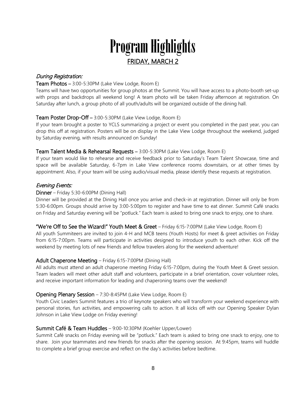### Program Highlights FRIDAY, MARCH 2

#### During Registration:

#### Team Photos – 3:00-5:30PM (Lake View Lodge, Room E)

Teams will have two opportunities for group photos at the Summit. You will have access to a photo-booth set-up with props and backdrops all weekend long! A team photo will be taken Friday afternoon at registration. On Saturday after lunch, a group photo of all youth/adults will be organized outside of the dining hall.

#### Team Poster Drop-Off – 3:00-5:30PM (Lake View Lodge, Room E)

If your team brought a poster to YCLS summarizing a project or event you completed in the past year, you can drop this off at registration. Posters will be on display in the Lake View Lodge throughout the weekend, judged by Saturday evening, with results announced on Sunday!

#### Team Talent Media & Rehearsal Requests – 3:00-5:30PM (Lake View Lodge, Room E)

If your team would like to rehearse and receive feedback prior to Saturday's Team Talent Showcase, time and space will be available Saturday, 6-7pm in Lake View conference rooms downstairs, or at other times by appointment. Also, if your team will be using audio/visual media, please identify these requests at registration.

#### Evening Events:

#### Dinner – Friday 5:30-6:00PM (Dining Hall)

Dinner will be provided at the Dining Hall once you arrive and check-in at registration. Dinner will only be from 5:30-6:00pm. Groups should arrive by 3:00-5:00pm to register and have time to eat dinner. Summit Café snacks on Friday and Saturday evening will be "potluck." Each team is asked to bring one snack to enjoy, one to share.

#### "We're Off to See the Wizard!" Youth Meet & Greet – Friday 6:15-7:00PM (Lake View Lodge, Room E)

All youth Summiteers are invited to join 4-H and MCB teens (Youth Hosts) for meet & greet activities on Friday from 6:15-7:00pm. Teams will participate in activities designed to introduce youth to each other. Kick off the weekend by meeting lots of new friends and fellow travelers along for the weekend adventure!

#### Adult Chaperone Meeting – Friday 6:15-7:00PM (Dining Hall)

All adults must attend an adult chaperone meeting Friday 6:15-7:00pm, during the Youth Meet & Greet session. Team leaders will meet other adult staff and volunteers, participate in a brief orientation, cover volunteer roles, and receive important information for leading and chaperoning teams over the weekend!

#### Opening Plenary Session – 7:30-8:45PM (Lake View Lodge, Room E)

Youth Civic Leaders Summit features a trio of keynote speakers who will transform your weekend experience with personal stories, fun activities, and empowering calls to action. It all kicks off with our Opening Speaker Dylan Johnson in Lake View Lodge on Friday evening!

#### Summit Café & Team Huddles – 9:00-10:30PM (Koehler Upper/Lower)

Summit Café snacks on Friday evening will be "potluck." Each team is asked to bring one snack to enjoy, one to share. Join your teammates and new friends for snacks after the opening session. At 9:45pm, teams will huddle to complete a brief group exercise and reflect on the day's activities before bedtime.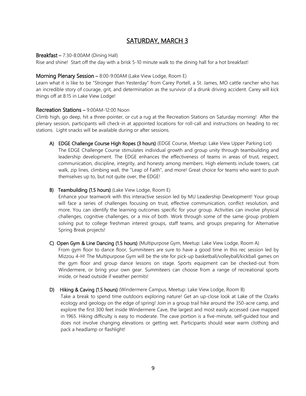#### SATURDAY, MARCH 3

#### Breakfast – 7:30-8:00AM (Dining Hall)

Rise and shine! Start off the day with a brisk 5-10 minute walk to the dining hall for a hot breakfast!

#### Morning Plenary Session – 8:00-9:00AM (Lake View Lodge, Room E)

Learn what it is like to be "Stronger than Yesterday" from Carey Portell, a St. James, MO cattle rancher who has an incredible story of courage, grit, and determination as the survivor of a drunk driving accident. Carey will kick things off at 8:15 in Lake View Lodge!

#### Recreation Stations – 9:00AM-12:00 Noon

Climb high, go deep, hit a three-pointer, or cut a rug at the Recreation Stations on Saturday morning! After the plenary session, participants will check-in at appointed locations for roll-call and instructions on heading to rec stations. Light snacks will be available during or after sessions.

A) EDGE Challenge Course High Ropes (3 hours) (EDGE Course, Meetup: Lake View Upper Parking Lot) The EDGE Challenge Course stimulates individual growth and group unity through teambuilding and leadership development. The EDGE enhances the effectiveness of teams in areas of trust, respect, communication, discipline, integrity, and honesty among members. High elements include towers, cat walk, zip lines, climbing wall, the "Leap of Faith", and more! Great choice for teams who want to push themselves up to, but not quite over, the EDGE!

#### B) Teambuilding (1.5 hours) (Lake View Lodge, Room E)

Enhance your teamwork with this interactive session led by MU Leadership Development! Your group will face a series of challenges focusing on trust, effective communication, conflict resolution, and more. You can identify the learning outcomes specific for your group. Activities can involve physical challenges, cognitive challenges, or a mix of both. Work through some of the same group problem solving put to college freshman interest groups, staff teams, and groups preparing for Alternative Spring Break projects!

#### C) Open Gym & Line Dancing (1.5 hours) (Multipurpose Gym, Meetup: Lake View Lodge, Room A)

From gym floor to dance floor, Summiteers are sure to have a good time in this rec session led by Mizzou 4-H! The Multipurpose Gym will be the site for pick-up basketball/volleyball/kickball games on the gym floor and group dance lessons on stage. Sports equipment can be checked-out from Windermere, or bring your own gear. Summiteers can choose from a range of recreational sports inside, or head outside if weather permits!

#### D) Hiking & Caving (1.5 hours) (Windermere Campus, Meetup: Lake View Lodge, Room B)

Take a break to spend time outdoors exploring nature! Get an up-close look at Lake of the Ozarks ecology and geology on the edge of spring! Join in a group trail hike around the 350-acre camp, and explore the first 300 feet inside Windermere Cave, the largest and most easily accessed cave mapped in 1965. Hiking difficulty is easy to moderate. The cave portion is a five-minute, self-guided tour and does not involve changing elevations or getting wet. Participants should wear warm clothing and pack a headlamp or flashlight!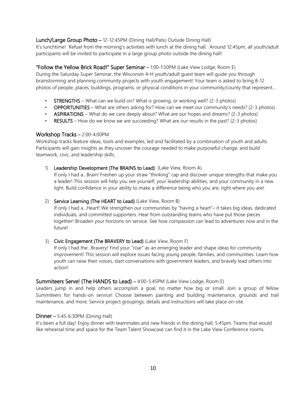#### Lunch/Large Group Photo – 12-12:45PM (Dining Hall/Patio Outside Dining Hall)

It's lunchtime! Refuel from the morning's activities with lunch at the dining hall. Around 12:45pm, all youth/adult participants will be invited to participate in a large group photo outside the dining hall!

#### "Follow the Yellow Brick Road!" Super Seminar – 1:00-1:50PM (Lake View Lodge, Room E)

During the Saturday Super Seminar, the Wisconsin 4-H youth/adult guest team will guide you through brainstorming and planning community projects with youth engagement! Your team is asked to bring 8-12 photos of people, places, buildings, programs, or physical conditions in your community/county that represent…

- STRENGTHS What can we build on? What is growing, or working well? (2-3 photos)
- OPPORTUNITIES What are others asking for? How can we meet our community's needs? (2-3 photos)
- ASPIRATIONS What do we care deeply about? What are our hopes and dreams? (2-3 photos)
- RESULTS How do we know we are succeeding? What are our results in the past? (2-3 photos)

#### Workshop Tracks – 2:00-4:00PM

Workshop tracks feature ideas, tools and examples, led and facilitated by a combination of youth and adults. Participants will gain insights as they uncover the courage needed to make purposeful change, and build teamwork, civic, and leadership skills.

#### 1) Leadership Development (The BRAINS to Lead) (Lake View, Room A)

If only I had a…Brain! Freshen up your straw "thinking" cap and discover unique strengths that make you a leader! This session will help you see yourself, your leadership abilities, and your community in a new light. Build confidence in your ability to make a difference being who you are, right where you are!

#### 2) **Service Learning (The HEART to Lead)** (Lake View, Room B)

If only I had a…Heart! We strengthen our communities by "having a heart"– it takes big ideas, dedicated individuals, and committed supporters. Hear from outstanding teams who have put those pieces together! Broaden your horizons on service. See how compassion can lead to adventures now and in the future!

#### 3) Civic Engagement (The BRAVERY to Lead) (Lake View, Room F)

If only I had the…Bravery! Find your "roar" as an emerging leader and shape ideas for community improvement! This session will explore issues facing young people, families, and communities. Learn how youth can raise their voices, start conversations with government leaders, and bravely lead others into action!

#### Summiteers Serve! (The HANDS to Lead) – 4:00-5:45PM (Lake View Lodge, Room E)

Leaders jump in and help others accomplish a goal, no matter how big or small. Join a group of fellow Summiteers for hands-on service! Choose between painting and building maintenance, grounds and trail maintenance, and more. Service project groupings, details and instructions will take place on-site.

#### Dinner – 5:45-6:30PM (Dining Hall)

It's been a full day! Enjoy dinner with teammates and new friends in the dining hall, 5:45pm. Teams that would like rehearsal time and space for the Team Talent Showcase can find it in the Lake View Conference rooms.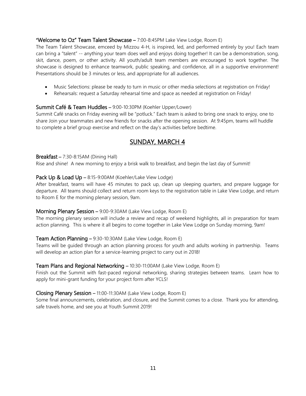#### "Welcome to Oz" Team Talent Showcase – 7:00-8:45PM Lake View Lodge, Room E)

The Team Talent Showcase, emceed by Mizzou 4-H, is inspired, led, and performed entirely by you! Each team can bring a "talent" -- anything your team does well and enjoys doing together! It can be a demonstration, song, skit, dance, poem, or other activity. All youth/adult team members are encouraged to work together. The showcase is designed to enhance teamwork, public speaking, and confidence, all in a supportive environment! Presentations should be 3 minutes or less, and appropriate for all audiences.

- Music Selections: please be ready to turn in music or other media selections at registration on Friday!
- Rehearsals: request a Saturday rehearsal time and space as needed at registration on Friday!

#### Summit Café & Team Huddles – 9:00-10:30PM (Koehler Upper/Lower)

Summit Café snacks on Friday evening will be "potluck." Each team is asked to bring one snack to enjoy, one to share Join your teammates and new friends for snacks after the opening session. At 9:45pm, teams will huddle to complete a brief group exercise and reflect on the day's activities before bedtime.

#### SUNDAY, MARCH 4

#### Breakfast – 7:30-8:15AM (Dining Hall)

Rise and shine! A new morning to enjoy a brisk walk to breakfast, and begin the last day of Summit!

#### Pack Up & Load Up - 8:15-9:00AM (Koehler/Lake View Lodge)

After breakfast, teams will have 45 minutes to pack up, clean up sleeping quarters, and prepare luggage for departure. All teams should collect and return room keys to the registration table in Lake View Lodge, and return to Room E for the morning plenary session, 9am.

#### Morning Plenary Session – 9:00-9:30AM (Lake View Lodge, Room E)

The morning plenary session will include a review and recap of weekend highlights, all in preparation for team action planning. This is where it all begins to come together in Lake View Lodge on Sunday morning, 9am!

#### Team Action Planning – 9:30-10:30AM (Lake View Lodge, Room E)

Teams will be guided through an action planning process for youth and adults working in partnership. Teams will develop an action plan for a service-learning project to carry out in 2018!

#### Team Plans and Regional Networking – 10:30-11:00AM (Lake View Lodge, Room E)

Finish out the Summit with fast-paced regional networking, sharing strategies between teams. Learn how to apply for mini-grant funding for your project form after YCLS!

#### Closing Plenary Session – 11:00-11:30AM (Lake View Lodge, Room E)

Some final announcements, celebration, and closure, and the Summit comes to a close. Thank you for attending, safe travels home, and see you at Youth Summit 2019!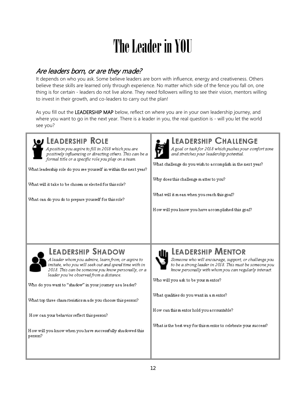# The Leader in YOU

#### Are leaders born, or are they made?

It depends on who you ask. Some believe leaders are born with influence, energy and creativeness. Others believe these skills are learned only through experience. No matter which side of the fence you fall on, one thing is for certain - leaders do not live alone. They need followers willing to see their vision, mentors willing to invest in their growth, and co-leaders to carry out the plan!

As you fill out the LEADERSHIP MAP below, reflect on where you are in your own leadership journey, and where you want to go in the next year. There is a leader in you, the real question is - will you let the world see you?

| I LEADERSHIP ROLE                                                                                                                                                                                                                                                                                                                                                                                                                                                                          | <b>LEADERSHIP CHALLENGE</b>                                                                                                                                                                                                                                                                                                                                                                              |
|--------------------------------------------------------------------------------------------------------------------------------------------------------------------------------------------------------------------------------------------------------------------------------------------------------------------------------------------------------------------------------------------------------------------------------------------------------------------------------------------|----------------------------------------------------------------------------------------------------------------------------------------------------------------------------------------------------------------------------------------------------------------------------------------------------------------------------------------------------------------------------------------------------------|
| Aposition you aspire to fill in 2018 which you are                                                                                                                                                                                                                                                                                                                                                                                                                                         | A goal or task for 2018 which pushes your comfort zone                                                                                                                                                                                                                                                                                                                                                   |
| positively influencing or directing others. This can be a                                                                                                                                                                                                                                                                                                                                                                                                                                  | and stretches your leadership potential.                                                                                                                                                                                                                                                                                                                                                                 |
| formal title or a specific role you play on a team.                                                                                                                                                                                                                                                                                                                                                                                                                                        | What challenge do you wish to accomplish in the next year?                                                                                                                                                                                                                                                                                                                                               |
| What leadership role do you see yourself in within the next year?                                                                                                                                                                                                                                                                                                                                                                                                                          | Why does this challenge matter to you?                                                                                                                                                                                                                                                                                                                                                                   |
| What will it take to be chosen or elected for this role?                                                                                                                                                                                                                                                                                                                                                                                                                                   | What will it mean when you reach this goal?                                                                                                                                                                                                                                                                                                                                                              |
| What can do you do to prepare yourself for this role?                                                                                                                                                                                                                                                                                                                                                                                                                                      | How will you know you have accomplished this goal?                                                                                                                                                                                                                                                                                                                                                       |
| <b>LEADERSHIP SHADOW</b><br>Aleader whom you admire, learn from, or aspire to<br>imitate, who you will seek out and spend time with in<br>2018. This can be someone you know personally, or a<br>leader you've observed from a distance.<br>Who do you want to "shadow" in your journey as a leader?<br>What top three characteristics made you choose this person?<br>How can your behavior reflect this person?<br>How will you know when you have successfully shadowed this<br>person? | <b>LEADERSHIP MENTOR</b><br>Someone who will encourage, support, or challenge you<br>to be a strong leader in 2018. This must be someone you<br>know personally with whom you can regularly interact.<br>Who will you ask to be your mentor?<br>What qualities do you want in a m entor?<br>How can this mentor hold you accountable?<br>What is the best way for this mentor to celebrate your success? |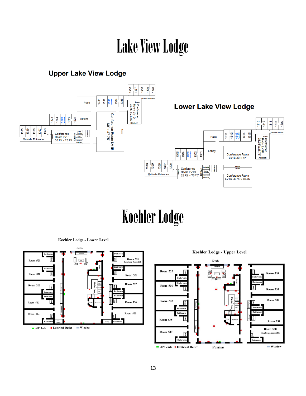### Lake View Lodge

#### **Upper Lake View Lodge**



### Koehler Lodge

Koehler Lodge - Lower Level





Koehler Lodge - Upper Level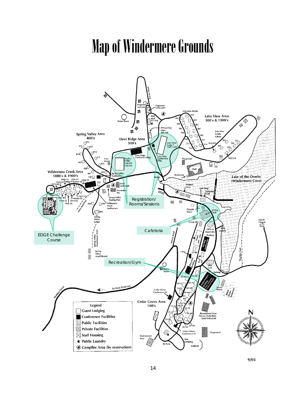### Map of Windermere Grounds



 $9/03$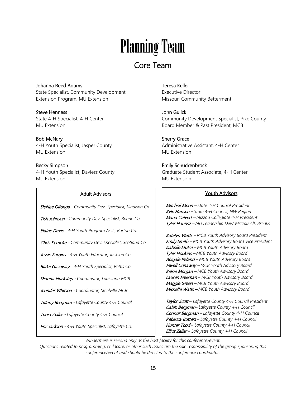# Planning Team

### Core Team

Johanna Reed Adams State Specialist, Community Development Extension Program, MU Extension

Steve Henness State 4-H Specialist, 4-H Center MU Extension

Bob McNary 4-H Youth Specialist, Jasper County MU Extension

Becky Simpson 4-H Youth Specialist, Daviess County MU Extension

 $\overline{a}$ I

I

#### Adult Advisors

DeNae Gitonga - *Community Dev. Specialist, Madison Co.*

Tish Johnson - *Community Dev. Specialist, Boone Co.*

Elaine Davis - *4-H Youth Program Asst., Barton Co.*

Chris Kempke - *Community Dev. Specialist, Scotland Co.*

Jessie Furgins - *4-H Youth Educator, Jackson Co.*

Blake Gazaway - *4-H Youth Specialist, Pettis Co.*

Dianna Huckstep - *Coordinator, Louisiana MCB*

Jennifer Whitson - *Coordinator, Steelville MCB*

Tiffany Bergman - *Lafayette County 4-H Council*

Tonia Zeiler - *Lafayette County 4-H Council*

Eric Jackson - *4-H Youth Specialist, Lafayette Co.*

#### Teresa Keller

Executive Director Missouri Community Betterment

John Gulick Community Development Specialist, Pike County Board Member & Past President, MCB

Sherry Grace Administrative Assistant, 4-H Center MU Extension

Emily Schuckenbrock Graduate Student Associate, 4-H Center MU Extension

#### Youth Advisors

Mitchell Moon – *State 4-H Council President* Kyle Hansen – *State 4-H Council, NW Region* Maria Calvert – *Mizzou Collegiate 4-H President* Tyler Hannsz – *MU Leadership Dev/ Mizzou Alt. Breaks*

Katelyn Watts – *MCB Youth Advisory Board President* Emily Smith – *MCB Youth Advisory Board Vice President* Isabelle Stulce – *MCB Youth Advisory Board* Tyler Hopkins – *MCB Youth Advisory Board* Abigale Ireland – *MCB Youth Advisory Board* Jewell Conaway – *MCB Youth Advisory Board* Kelsie Morgan – *MCB Youth Advisory Board* Lauren Freeman *– MCB Youth Advisory Board* Maggie Green – *MCB Youth Advisory Board* Michelle Watts – *MCB Youth Advisory Board*

Taylor Scott *– Lafayette County 4-H Council President* Caleb Bergman*– Lafayette County 4-H Council* Connor Bergman *– Lafayette County 4-H Council* Rebecca Butters *– Lafayette County 4-H Council* Hunter Todd *– Lafayette County 4-H Council* Elliot Zeiler *– Lafayette County 4-H Council*

*Windermere is serving only as the host facility for this conference/event.* 

*Questions related to programming, childcare, or other such issues are the sole responsibility of the group sponsoring this conference/event and should be directed to the conference coordinator.*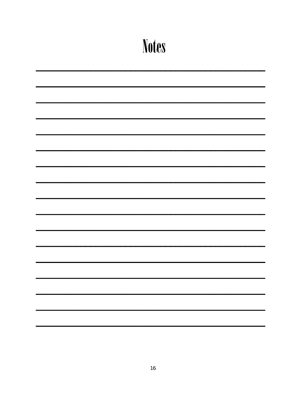| <b>Notes</b> |
|--------------|
|              |
|              |
|              |
|              |
|              |
|              |
|              |
|              |
|              |
|              |
|              |
|              |
|              |
|              |
|              |
|              |